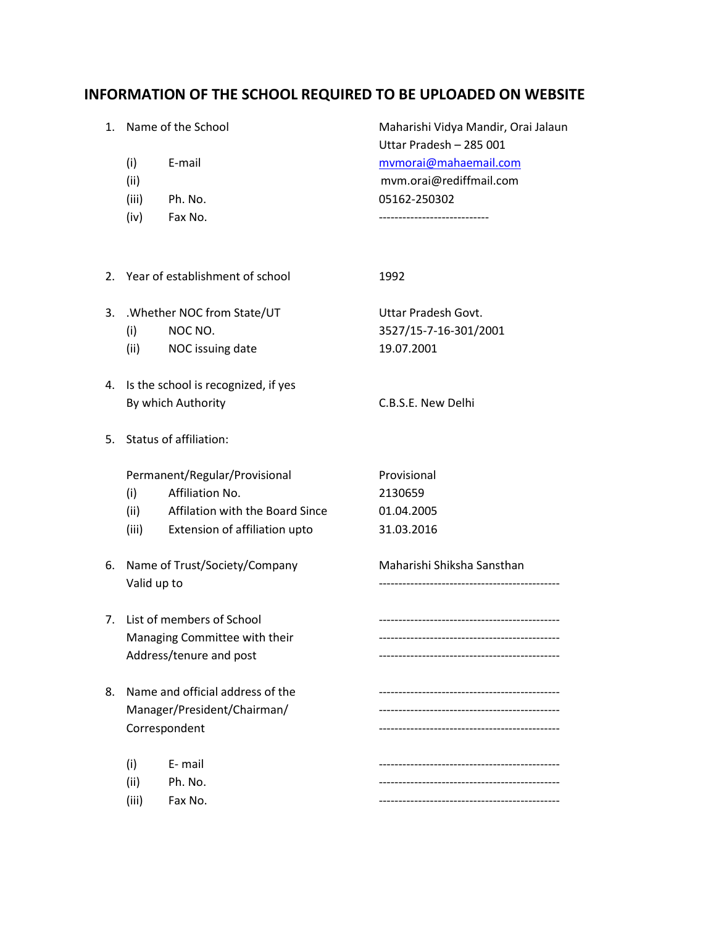## **INFORMATION OF THE SCHOOL REQUIRED TO BE UPLOADED ON WEBSITE**

|  |       | 1. Name of the School | Maharishi Vidya Mandir, Orai Jalaun |
|--|-------|-----------------------|-------------------------------------|
|  |       |                       | Uttar Pradesh - 285 001             |
|  | (i)   | E-mail                | mymorai@mahaemail.com               |
|  | (ii)  |                       | mvm.orai@rediffmail.com             |
|  | (iii) | Ph. No.               | 05162-250302                        |
|  | (iv)  | Fax No.               |                                     |
|  |       |                       |                                     |

|    | 2. Year of establishment of school |                                                           | 1992                                                       |
|----|------------------------------------|-----------------------------------------------------------|------------------------------------------------------------|
| 3. | (i)<br>(ii)                        | .Whether NOC from State/UT<br>NOC NO.<br>NOC issuing date | Uttar Pradesh Govt.<br>3527/15-7-16-301/2001<br>19.07.2001 |
| 4. |                                    | Is the school is recognized, if yes                       |                                                            |
|    |                                    | By which Authority                                        | C.B.S.E. New Delhi                                         |
| 5. |                                    | Status of affiliation:                                    |                                                            |
|    |                                    | Permanent/Regular/Provisional                             | Provisional                                                |
|    | (i)                                | Affiliation No.                                           | 2130659                                                    |
|    | (ii)                               | Affilation with the Board Since                           | 01.04.2005                                                 |
|    | (iii)                              | Extension of affiliation upto                             | 31.03.2016                                                 |
| 6. | Valid up to                        | Name of Trust/Society/Company                             | Maharishi Shiksha Sansthan                                 |
| 7. |                                    | List of members of School                                 | ------------------------------                             |
|    |                                    | Managing Committee with their                             | -------------------------------                            |
|    |                                    | Address/tenure and post                                   | -----------------------------                              |
| 8. |                                    | Name and official address of the                          |                                                            |
|    |                                    | Manager/President/Chairman/                               | ---------------------------------                          |
|    |                                    | Correspondent                                             | --------------------------------                           |
|    | (i)                                | E-mail                                                    |                                                            |
|    | (ii)                               | Ph. No.                                                   | ----------------------------                               |
|    | (iii)                              | Fax No.                                                   |                                                            |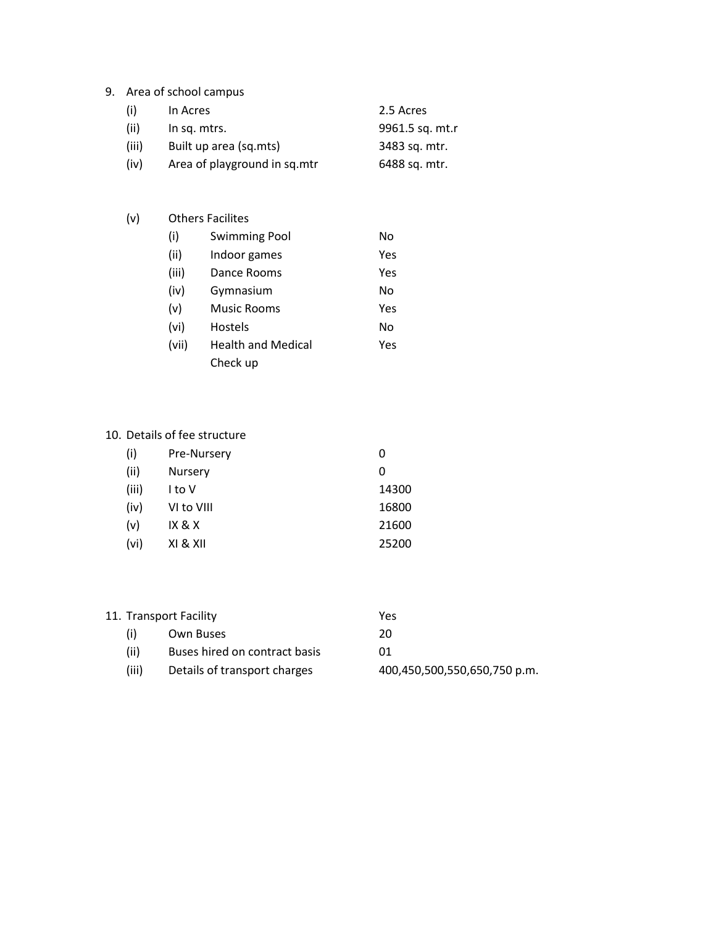### 9. Area of school campus

| (i)   | In Acres                     | 2.5 Acres       |
|-------|------------------------------|-----------------|
| (ii)  | In sq. mtrs.                 | 9961.5 sq. mt.r |
| (iii) | Built up area (sq.mts)       | 3483 sq. mtr.   |
| (iv)  | Area of playground in sq.mtr | 6488 sq. mtr.   |

# (v) Others Facilites (i) Swimming Pool No (ii) Indoor games Yes (iii) Dance Rooms Yes (iv) Gymnasium No (v) Music Rooms Yes (vi) Hostels No (vii) Health and Medical Yes Check up

#### 10. Details of fee structure

| 11. Transport Facility |       |                               | Yes                          |
|------------------------|-------|-------------------------------|------------------------------|
|                        | (i)   | Own Buses                     | 20                           |
|                        | (ii)  | Buses hired on contract basis | 01                           |
|                        | (iii) | Details of transport charges  | 400,450,500,550,650,750 p.m. |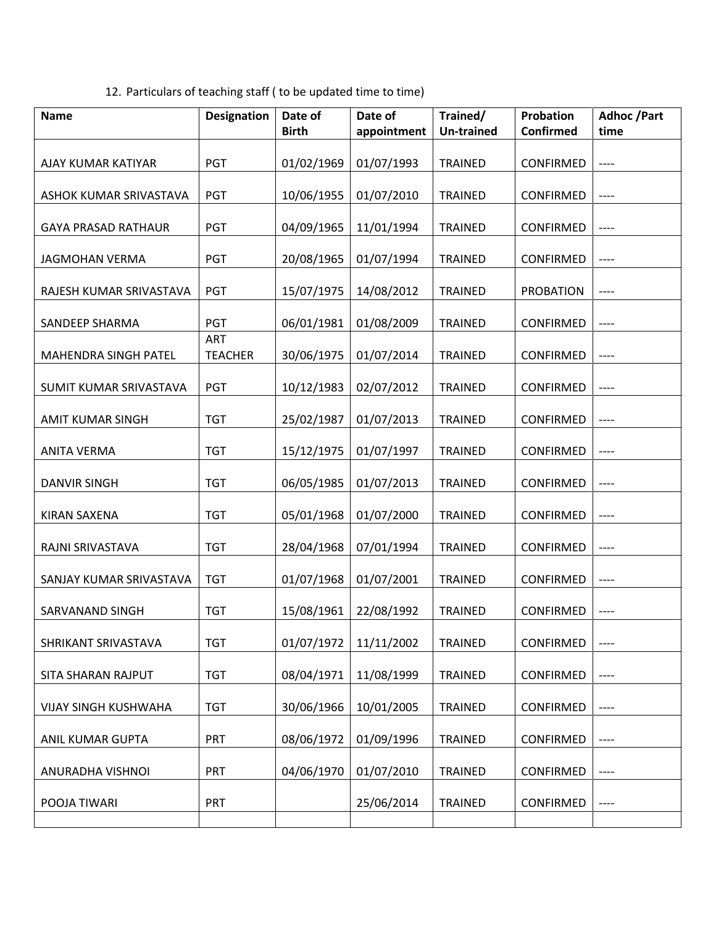12. Particulars of teaching staff ( to be updated time to time)

| <b>Name</b>                 | <b>Designation</b>    | Date of<br><b>Birth</b> | Date of<br>appointment | Trained/<br><b>Un-trained</b> | <b>Probation</b><br><b>Confirmed</b> | <b>Adhoc</b> /Part<br>time |
|-----------------------------|-----------------------|-------------------------|------------------------|-------------------------------|--------------------------------------|----------------------------|
|                             |                       |                         |                        |                               |                                      |                            |
| AJAY KUMAR KATIYAR          | <b>PGT</b>            | 01/02/1969              | 01/07/1993             | <b>TRAINED</b>                | <b>CONFIRMED</b>                     | $---$                      |
| ASHOK KUMAR SRIVASTAVA      | PGT                   | 10/06/1955              | 01/07/2010             | <b>TRAINED</b>                | <b>CONFIRMED</b>                     | ----                       |
| <b>GAYA PRASAD RATHAUR</b>  | PGT                   | 04/09/1965              | 11/01/1994             | <b>TRAINED</b>                | <b>CONFIRMED</b>                     | ----                       |
| <b>JAGMOHAN VERMA</b>       | PGT                   | 20/08/1965              | 01/07/1994             | <b>TRAINED</b>                | <b>CONFIRMED</b>                     | ----                       |
| RAJESH KUMAR SRIVASTAVA     | <b>PGT</b>            | 15/07/1975              | 14/08/2012             | <b>TRAINED</b>                | <b>PROBATION</b>                     | ----                       |
| <b>SANDEEP SHARMA</b>       | <b>PGT</b>            | 06/01/1981              | 01/08/2009             | <b>TRAINED</b>                | <b>CONFIRMED</b>                     | $---$                      |
| MAHENDRA SINGH PATEL        | ART<br><b>TEACHER</b> | 30/06/1975              | 01/07/2014             | TRAINED                       | <b>CONFIRMED</b>                     | ----                       |
| SUMIT KUMAR SRIVASTAVA      | PGT                   | 10/12/1983              | 02/07/2012             | <b>TRAINED</b>                | <b>CONFIRMED</b>                     | ----                       |
| <b>AMIT KUMAR SINGH</b>     | <b>TGT</b>            | 25/02/1987              | 01/07/2013             | <b>TRAINED</b>                | <b>CONFIRMED</b>                     | ----                       |
| <b>ANITA VERMA</b>          | <b>TGT</b>            | 15/12/1975              | 01/07/1997             | <b>TRAINED</b>                | <b>CONFIRMED</b>                     | $---$                      |
| <b>DANVIR SINGH</b>         | <b>TGT</b>            | 06/05/1985              | 01/07/2013             | <b>TRAINED</b>                | <b>CONFIRMED</b>                     | ----                       |
| <b>KIRAN SAXENA</b>         | <b>TGT</b>            | 05/01/1968              | 01/07/2000             | <b>TRAINED</b>                | <b>CONFIRMED</b>                     | $---$                      |
| RAJNI SRIVASTAVA            | <b>TGT</b>            | 28/04/1968              | 07/01/1994             | <b>TRAINED</b>                | <b>CONFIRMED</b>                     | ----                       |
| SANJAY KUMAR SRIVASTAVA     | <b>TGT</b>            | 01/07/1968              | 01/07/2001             | <b>TRAINED</b>                | <b>CONFIRMED</b>                     | ----                       |
| <b>SARVANAND SINGH</b>      | <b>TGT</b>            | 15/08/1961              | 22/08/1992             | <b>TRAINED</b>                | <b>CONFIRMED</b>                     | $-----$                    |
| SHRIKANT SRIVASTAVA         | <b>TGT</b>            | 01/07/1972              | 11/11/2002             | <b>TRAINED</b>                | <b>CONFIRMED</b>                     | ----                       |
| SITA SHARAN RAJPUT          | <b>TGT</b>            | 08/04/1971              | 11/08/1999             | <b>TRAINED</b>                | <b>CONFIRMED</b>                     | ----                       |
| <b>VIJAY SINGH KUSHWAHA</b> | <b>TGT</b>            | 30/06/1966              | 10/01/2005             | <b>TRAINED</b>                | <b>CONFIRMED</b>                     | ----                       |
| ANIL KUMAR GUPTA            | <b>PRT</b>            | 08/06/1972              | 01/09/1996             | <b>TRAINED</b>                | <b>CONFIRMED</b>                     | ----                       |
| ANURADHA VISHNOI            | PRT                   | 04/06/1970              | 01/07/2010             | <b>TRAINED</b>                | CONFIRMED                            | ----                       |
| POOJA TIWARI                | <b>PRT</b>            |                         | 25/06/2014             | <b>TRAINED</b>                | <b>CONFIRMED</b>                     | $---$                      |
|                             |                       |                         |                        |                               |                                      |                            |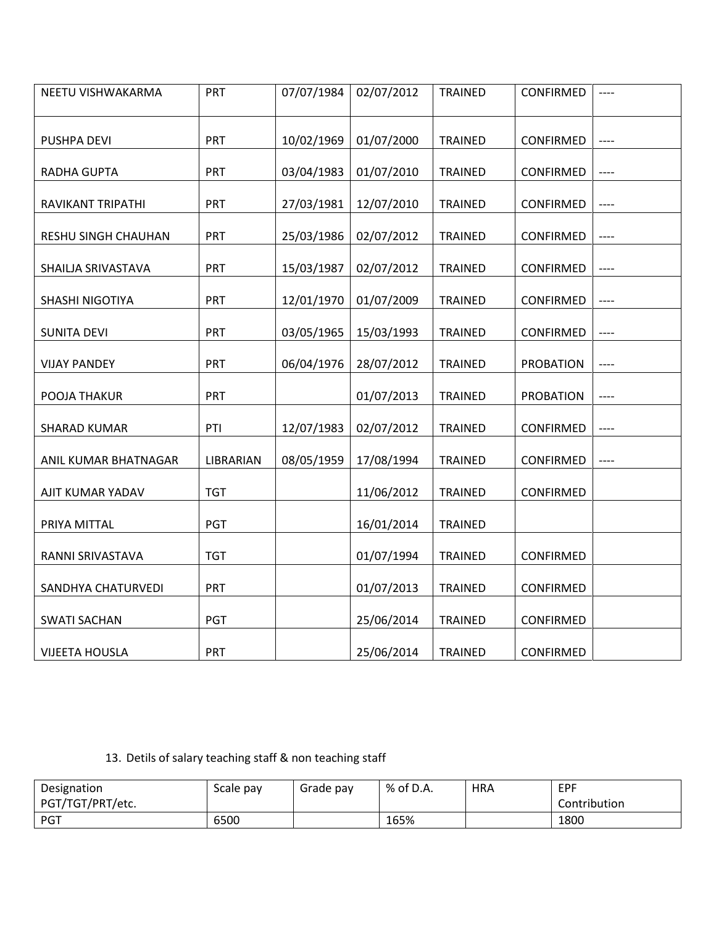| NEETU VISHWAKARMA     | PRT        | 07/07/1984 | 02/07/2012 | <b>TRAINED</b> | <b>CONFIRMED</b> | ----                     |
|-----------------------|------------|------------|------------|----------------|------------------|--------------------------|
| PUSHPA DEVI           | PRT        | 10/02/1969 | 01/07/2000 | <b>TRAINED</b> | CONFIRMED        | $\overline{\phantom{a}}$ |
| <b>RADHA GUPTA</b>    | PRT        | 03/04/1983 | 01/07/2010 | <b>TRAINED</b> | CONFIRMED        | $---$                    |
| RAVIKANT TRIPATHI     | PRT        | 27/03/1981 | 12/07/2010 | <b>TRAINED</b> | CONFIRMED        | $-----$                  |
| RESHU SINGH CHAUHAN   | PRT        | 25/03/1986 | 02/07/2012 | <b>TRAINED</b> | <b>CONFIRMED</b> | $---$                    |
| SHAILJA SRIVASTAVA    | PRT        | 15/03/1987 | 02/07/2012 | <b>TRAINED</b> | <b>CONFIRMED</b> | $---$                    |
| SHASHI NIGOTIYA       | PRT        | 12/01/1970 | 01/07/2009 | <b>TRAINED</b> | CONFIRMED        | $---$                    |
| <b>SUNITA DEVI</b>    | PRT        | 03/05/1965 | 15/03/1993 | <b>TRAINED</b> | CONFIRMED        | $---$                    |
| <b>VIJAY PANDEY</b>   | PRT        | 06/04/1976 | 28/07/2012 | <b>TRAINED</b> | <b>PROBATION</b> | $---$                    |
| POOJA THAKUR          | PRT        |            | 01/07/2013 | <b>TRAINED</b> | <b>PROBATION</b> | ----                     |
| <b>SHARAD KUMAR</b>   | PTI        | 12/07/1983 | 02/07/2012 | <b>TRAINED</b> | CONFIRMED        | $---$                    |
| ANIL KUMAR BHATNAGAR  | LIBRARIAN  | 08/05/1959 | 17/08/1994 | <b>TRAINED</b> | CONFIRMED        | $---$                    |
| AJIT KUMAR YADAV      | <b>TGT</b> |            | 11/06/2012 | <b>TRAINED</b> | <b>CONFIRMED</b> |                          |
| PRIYA MITTAL          | <b>PGT</b> |            | 16/01/2014 | <b>TRAINED</b> |                  |                          |
| RANNI SRIVASTAVA      | <b>TGT</b> |            | 01/07/1994 | <b>TRAINED</b> | CONFIRMED        |                          |
| SANDHYA CHATURVEDI    | PRT        |            | 01/07/2013 | <b>TRAINED</b> | CONFIRMED        |                          |
| <b>SWATI SACHAN</b>   | <b>PGT</b> |            | 25/06/2014 | <b>TRAINED</b> | CONFIRMED        |                          |
| <b>VIJEETA HOUSLA</b> | PRT        |            | 25/06/2014 | <b>TRAINED</b> | <b>CONFIRMED</b> |                          |

13. Detils of salary teaching staff & non teaching staff

| Designation      | Scale pay | Grade pay | % of D.A. | <b>HRA</b> | EPF          |
|------------------|-----------|-----------|-----------|------------|--------------|
| PGT/TGT/PRT/etc. |           |           |           |            | Contribution |
| PGT              | 6500      |           | 165%      |            | 1800         |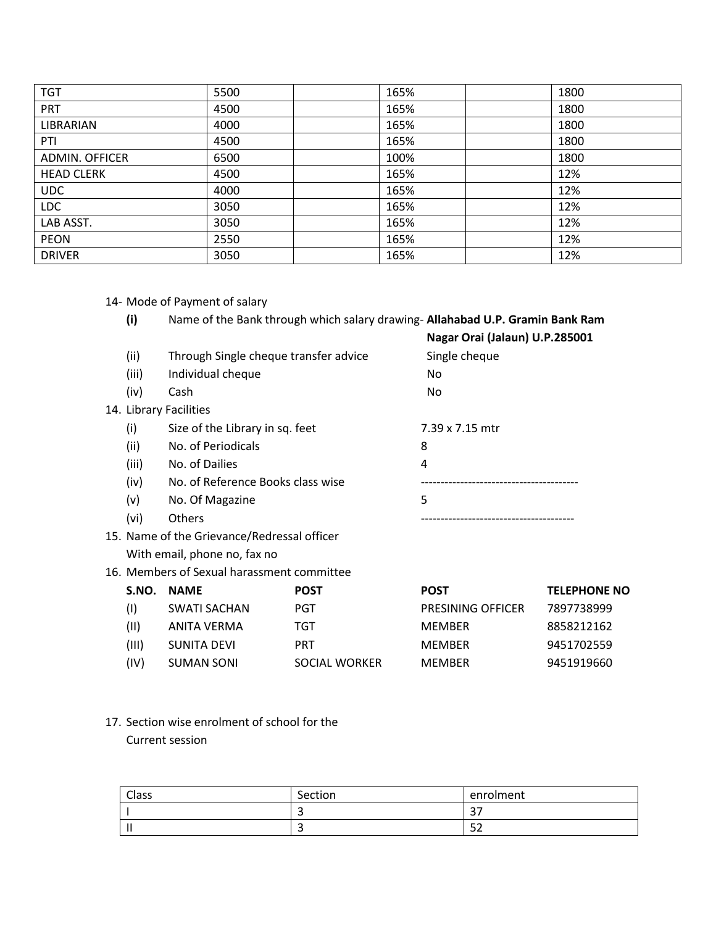| <b>TGT</b>            | 5500 | 165% | 1800 |
|-----------------------|------|------|------|
| <b>PRT</b>            | 4500 | 165% | 1800 |
| <b>LIBRARIAN</b>      | 4000 | 165% | 1800 |
| PTI                   | 4500 | 165% | 1800 |
| <b>ADMIN. OFFICER</b> | 6500 | 100% | 1800 |
| <b>HEAD CLERK</b>     | 4500 | 165% | 12%  |
| <b>UDC</b>            | 4000 | 165% | 12%  |
| <b>LDC</b>            | 3050 | 165% | 12%  |
| LAB ASST.             | 3050 | 165% | 12%  |
| <b>PEON</b>           | 2550 | 165% | 12%  |
| <b>DRIVER</b>         | 3050 | 165% | 12%  |

- 14- Mode of Payment of salary
	- **(i)** Name of the Bank through which salary drawing- **Allahabad U.P. Gramin Bank Ram**

| (ii)<br>(iii)<br>(iv) | Through Single cheque transfer advice<br>Individual cheque<br>Cash | Nagar Orai (Jalaun) U.P.285001<br>Single cheque<br>No<br>No. |
|-----------------------|--------------------------------------------------------------------|--------------------------------------------------------------|
|                       | 14. Library Facilities                                             |                                                              |
| (i)                   | Size of the Library in sq. feet                                    | 7.39 x 7.15 mtr                                              |
| (ii)                  | No. of Periodicals                                                 | 8                                                            |
| (iii)                 | No. of Dailies                                                     | 4                                                            |
| (iv)                  | No. of Reference Books class wise                                  |                                                              |
| (v)                   | No. Of Magazine                                                    | 5                                                            |
| (vi)                  | <b>Others</b>                                                      |                                                              |
|                       | 15. Name of the Grievance/Redressal officer                        |                                                              |
|                       | With email, phone no, fax no                                       |                                                              |

16. Members of Sexual harassment committee

| S.NO. | <b>NAME</b>  | <b>POST</b>   | <b>POST</b>              | <b>TELEPHONE NO</b> |
|-------|--------------|---------------|--------------------------|---------------------|
| (1)   | SWATI SACHAN | PGT           | <b>PRESINING OFFICER</b> | 7897738999          |
| (11)  | ANITA VERMA  | TGT           | <b>MFMBFR</b>            | 8858212162          |
| (III) | SUNITA DEVI  | <b>PRT</b>    | <b>MFMBFR</b>            | 9451702559          |
| (IV)  | SUMAN SONI   | SOCIAL WORKER | <b>MFMBFR</b>            | 9451919660          |

17. Section wise enrolment of school for the Current session

| Class | Section | enrolment  |
|-------|---------|------------|
|       |         | <u>. </u>  |
|       |         | - -<br>ے ت |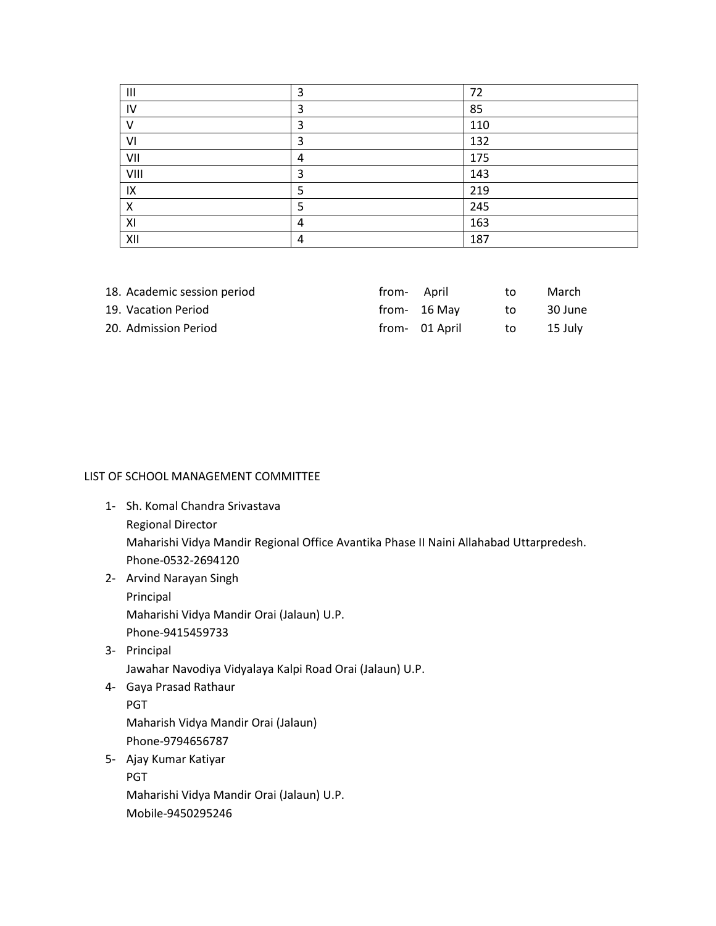| $\mathbf{III}$ | 3 | 72  |
|----------------|---|-----|
| IV             | 3 | 85  |
| $\mathsf{V}$   | 3 | 110 |
| VI             | 3 | 132 |
| VII            | 4 | 175 |
| VIII           | 3 | 143 |
| IX             | ר | 219 |
| X              |   | 245 |
| XI             | 4 | 163 |
| XII            | 4 | 187 |

| 18. Academic session period | trom- April |                | to | March   |
|-----------------------------|-------------|----------------|----|---------|
| 19. Vacation Period         |             | from- 16 May   | to | 30 June |
| 20. Admission Period        |             | from- 01 April | to | 15 July |

#### LIST OF SCHOOL MANAGEMENT COMMITTEE

- 1- Sh. Komal Chandra Srivastava Regional Director Maharishi Vidya Mandir Regional Office Avantika Phase II Naini Allahabad Uttarpredesh. Phone-0532-2694120
- 2- Arvind Narayan Singh Principal Maharishi Vidya Mandir Orai (Jalaun) U.P.

Phone-9415459733 3- Principal

Jawahar Navodiya Vidyalaya Kalpi Road Orai (Jalaun) U.P.

- 4- Gaya Prasad Rathaur PGT Maharish Vidya Mandir Orai (Jalaun) Phone-9794656787
- 5- Ajay Kumar Katiyar PGT Maharishi Vidya Mandir Orai (Jalaun) U.P. Mobile-9450295246